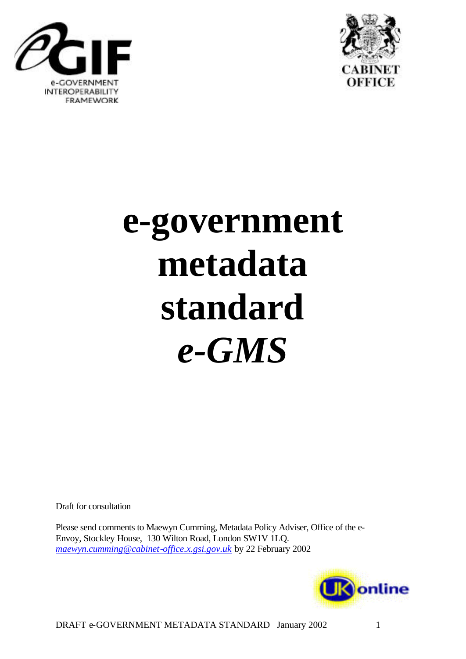



# **e-government metadata standard** *e-GMS*

Draft for consultation

Please send comments to Maewyn Cumming, Metadata Policy Adviser, Office of the e-Envoy, Stockley House, 130 Wilton Road, London SW1V 1LQ. *maewyn.cumming@cabinet-office.x.gsi.gov.uk* by 22 February 2002

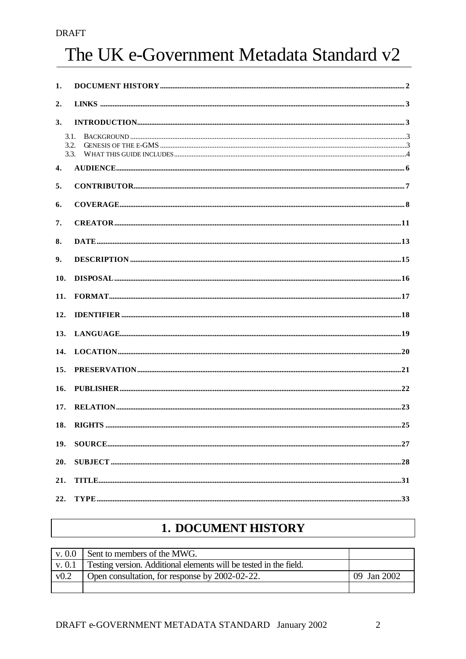## The UK e-Government Metadata Standard v2

| 1.                   |                       |  |
|----------------------|-----------------------|--|
| 2.                   |                       |  |
| 3.                   | $\bf INTRODUCTION. 3$ |  |
| 3.1.<br>3.2.<br>3.3. |                       |  |
| 4.                   |                       |  |
| 5.                   |                       |  |
| 6.                   |                       |  |
| 7.                   |                       |  |
| 8.                   |                       |  |
| 9.                   |                       |  |
| 10.                  |                       |  |
| 11.                  |                       |  |
| 12.                  |                       |  |
| 13.                  |                       |  |
| 14.                  |                       |  |
| 15.                  |                       |  |
| 16.                  |                       |  |
| 17.                  |                       |  |
|                      |                       |  |
| 18.                  |                       |  |
| 19.                  |                       |  |
| 20.                  |                       |  |
| 21.                  |                       |  |
| 22.                  |                       |  |

## **1. DOCUMENT HISTORY**

|      | $\vert$ v. 0.0 Sent to members of the MWG.                               |             |
|------|--------------------------------------------------------------------------|-------------|
|      | v. 0.1 Testing version. Additional elements will be tested in the field. |             |
| v0.2 | Open consultation, for response by 2002-02-22.                           | 09 Jan 2002 |
|      |                                                                          |             |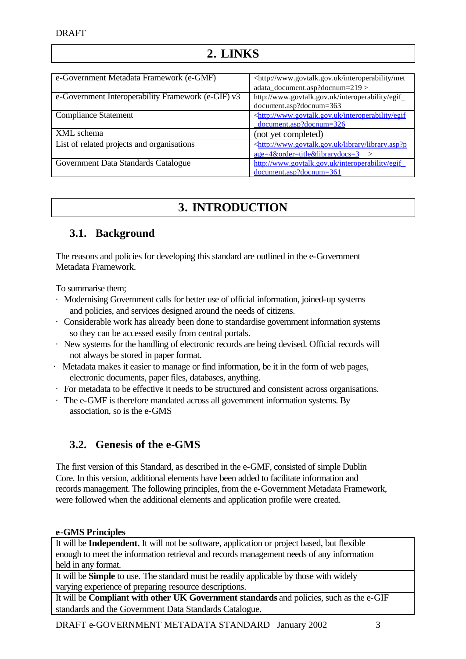## **2. LINKS**

| e-Government Metadata Framework (e-GMF)            | <http: interoperability="" met<="" td="" www.govtalk.gov.uk=""></http:>  |
|----------------------------------------------------|--------------------------------------------------------------------------|
|                                                    | adata_document.asp?docnum=219>                                           |
| e-Government Interoperability Framework (e-GIF) v3 | http://www.govtalk.gov.uk/interoperability/egif_                         |
|                                                    | document.asp?docnum=363                                                  |
| <b>Compliance Statement</b>                        | <http: egif<="" interoperability="" td="" www.govtalk.gov.uk=""></http:> |
|                                                    | document.asp?docnum=326                                                  |
| XML schema                                         | (not yet completed)                                                      |
| List of related projects and organisations         | <http: library="" library.asp?p<="" td="" www.govtalk.gov.uk=""></http:> |
|                                                    | $age=4\ℴ=title\&librarydoes=3$<br>$\geq$                                 |
| Government Data Standards Catalogue                | http://www.govtalk.gov.uk/interoperability/egif                          |
|                                                    | document.asp?docnum=361                                                  |

## **3. INTRODUCTION**

## **3.1. Background**

The reasons and policies for developing this standard are outlined in the e-Government Metadata Framework.

To summarise them;

- · Modernising Government calls for better use of official information, joined-up systems and policies, and services designed around the needs of citizens.
- · Considerable work has already been done to standardise government information systems so they can be accessed easily from central portals.
- · New systems for the handling of electronic records are being devised. Official records will not always be stored in paper format.
- · Metadata makes it easier to manage or find information, be it in the form of web pages, electronic documents, paper files, databases, anything.
- · For metadata to be effective it needs to be structured and consistent across organisations.
- · The e-GMF is therefore mandated across all government information systems. By association, so is the e-GMS

## **3.2. Genesis of the e-GMS**

The first version of this Standard, as described in the e-GMF, consisted of simple Dublin Core. In this version, additional elements have been added to facilitate information and records management. The following principles, from the e-Government Metadata Framework, were followed when the additional elements and application profile were created.

### **e-GMS Principles**

It will be **Independent.** It will not be software, application or project based, but flexible enough to meet the information retrieval and records management needs of any information held in any format.

It will be **Simple** to use. The standard must be readily applicable by those with widely varying experience of preparing resource descriptions.

It will be **Compliant with other UK Government standards** and policies, such as the e-GIF standards and the Government Data Standards Catalogue.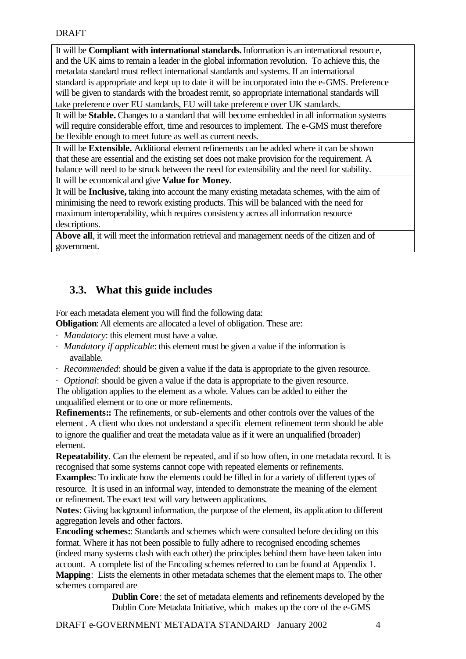It will be **Compliant with international standards.** Information is an international resource, and the UK aims to remain a leader in the global information revolution. To achieve this, the metadata standard must reflect international standards and systems. If an international standard is appropriate and kept up to date it will be incorporated into the e-GMS. Preference will be given to standards with the broadest remit, so appropriate international standards will take preference over EU standards, EU will take preference over UK standards.

It will be **Stable.** Changes to a standard that will become embedded in all information systems will require considerable effort, time and resources to implement. The e-GMS must therefore be flexible enough to meet future as well as current needs.

It will be **Extensible.** Additional element refinements can be added where it can be shown that these are essential and the existing set does not make provision for the requirement. A balance will need to be struck between the need for extensibility and the need for stability.

It will be economical and give **Value for Money**.

It will be **Inclusive,** taking into account the many existing metadata schemes, with the aim of minimising the need to rework existing products. This will be balanced with the need for maximum interoperability, which requires consistency across all information resource descriptions.

**Above all**, it will meet the information retrieval and management needs of the citizen and of government.

## **3.3. What this guide includes**

For each metadata element you will find the following data:

**Obligation**: All elements are allocated a level of obligation. These are:

- *· Mandatory*: this element must have a value.
- *· Mandatory if applicable*: this element must be given a value if the information is available.
- *· Recommended*: should be given a value if the data is appropriate to the given resource.
- *· Optional*: should be given a value if the data is appropriate to the given resource.

The obligation applies to the element as a whole. Values can be added to either the unqualified element or to one or more refinements.

**Refinements::** The refinements, or sub-elements and other controls over the values of the element . A client who does not understand a specific element refinement term should be able to ignore the qualifier and treat the metadata value as if it were an unqualified (broader) element.

**Repeatability**. Can the element be repeated, and if so how often, in one metadata record. It is recognised that some systems cannot cope with repeated elements or refinements.

**Examples**: To indicate how the elements could be filled in for a variety of different types of resource. It is used in an informal way, intended to demonstrate the meaning of the element or refinement. The exact text will vary between applications.

**Notes**: Giving background information, the purpose of the element, its application to different aggregation levels and other factors.

**Encoding schemes:**: Standards and schemes which were consulted before deciding on this format. Where it has not been possible to fully adhere to recognised encoding schemes (indeed many systems clash with each other) the principles behind them have been taken into account. A complete list of the Encoding schemes referred to can be found at Appendix 1. **Mapping**: Lists the elements in other metadata schemes that the element maps to. The other schemes compared are

**Dublin Core**: the set of metadata elements and refinements developed by the Dublin Core Metadata Initiative, which makes up the core of the e-GMS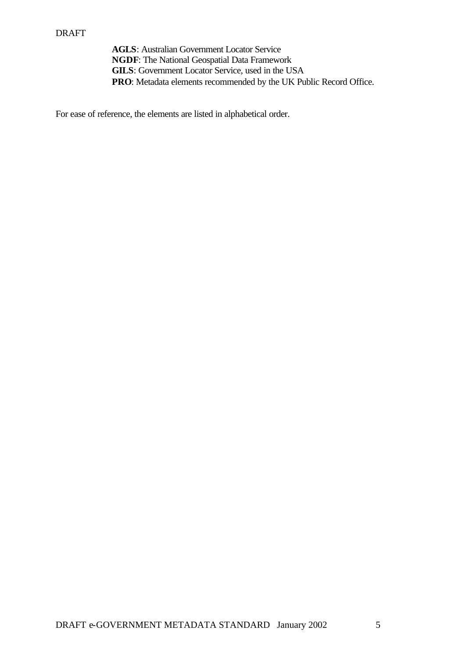**AGLS**: Australian Government Locator Service **NGDF**: The National Geospatial Data Framework **GILS**: Government Locator Service, used in the USA **PRO**: Metadata elements recommended by the UK Public Record Office.

For ease of reference, the elements are listed in alphabetical order.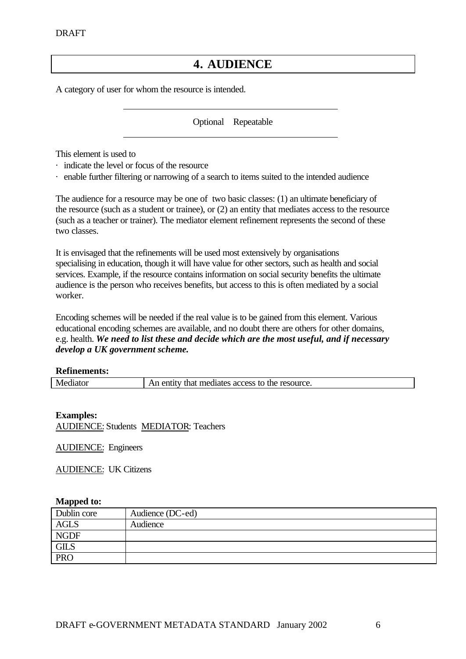## **4. AUDIENCE**

A category of user for whom the resource is intended.

Optional Repeatable

This element is used to

- · indicate the level or focus of the resource
- · enable further filtering or narrowing of a search to items suited to the intended audience

The audience for a resource may be one of two basic classes: (1) an ultimate beneficiary of the resource (such as a student or trainee), or (2) an entity that mediates access to the resource (such as a teacher or trainer). The mediator element refinement represents the second of these two classes.

It is envisaged that the refinements will be used most extensively by organisations specialising in education, though it will have value for other sectors, such as health and social services. Example, if the resource contains information on social security benefits the ultimate audience is the person who receives benefits, but access to this is often mediated by a social worker.

Encoding schemes will be needed if the real value is to be gained from this element. Various educational encoding schemes are available, and no doubt there are others for other domains, e.g. health. *We need to list these and decide which are the most useful, and if necessary develop a UK government scheme.*

#### **Refinements:**

|  | Mediator | t mediates access to the resource.<br>that<br>enu |
|--|----------|---------------------------------------------------|
|--|----------|---------------------------------------------------|

**Examples:** AUDIENCE: Students MEDIATOR: Teachers

AUDIENCE: Engineers

AUDIENCE: UK Citizens

| Dublin core | Audience (DC-ed) |
|-------------|------------------|
| <b>AGLS</b> | Audience         |
| <b>NGDF</b> |                  |
| <b>GILS</b> |                  |
| <b>PRO</b>  |                  |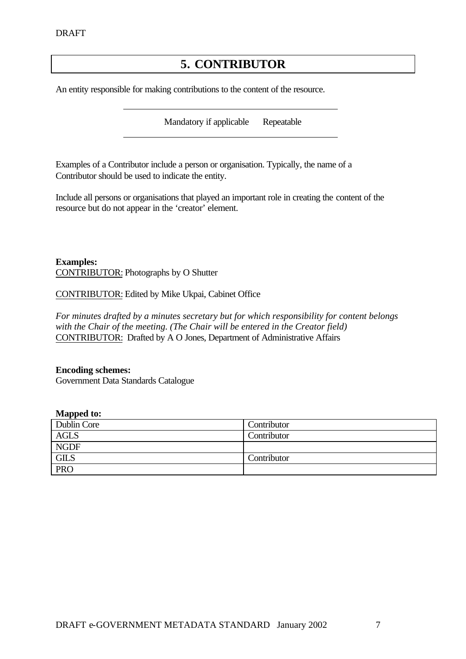## **5. CONTRIBUTOR**

An entity responsible for making contributions to the content of the resource.

Mandatory if applicable Repeatable

Examples of a Contributor include a person or organisation. Typically, the name of a Contributor should be used to indicate the entity.

Include all persons or organisations that played an important role in creating the content of the resource but do not appear in the 'creator' element.

**Examples:** CONTRIBUTOR: Photographs by O Shutter

CONTRIBUTOR: Edited by Mike Ukpai, Cabinet Office

*For minutes drafted by a minutes secretary but for which responsibility for content belongs with the Chair of the meeting. (The Chair will be entered in the Creator field)* CONTRIBUTOR: Drafted by A O Jones, Department of Administrative Affairs

#### **Encoding schemes:**

Government Data Standards Catalogue

| ---<br>Dublin Core | Contributor |
|--------------------|-------------|
| AGLS               | Contributor |
| <b>NGDF</b>        |             |
| <b>GILS</b>        | Contributor |
| <b>PRO</b>         |             |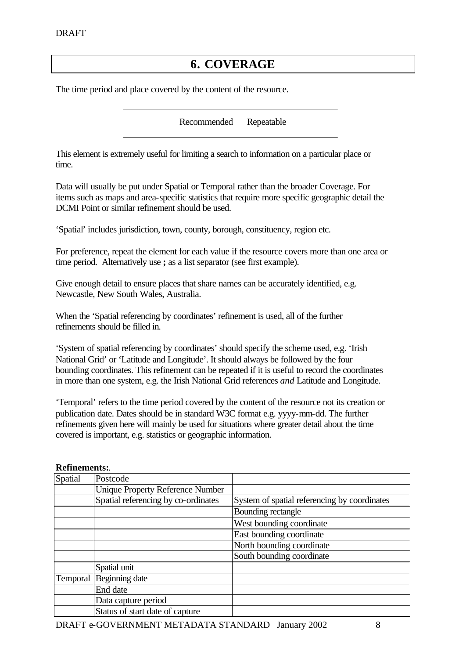## **6. COVERAGE**

The time period and place covered by the content of the resource.

Recommended Repeatable

This element is extremely useful for limiting a search to information on a particular place or time.

Data will usually be put under Spatial or Temporal rather than the broader Coverage. For items such as maps and area-specific statistics that require more specific geographic detail the DCMI Point or similar refinement should be used.

'Spatial' includes jurisdiction, town, county, borough, constituency, region etc.

For preference, repeat the element for each value if the resource covers more than one area or time period. Alternatively use **;** as a list separator (see first example).

Give enough detail to ensure places that share names can be accurately identified, e.g. Newcastle, New South Wales, Australia.

When the 'Spatial referencing by coordinates' refinement is used, all of the further refinements should be filled in.

'System of spatial referencing by coordinates' should specify the scheme used, e.g. 'Irish National Grid' or 'Latitude and Longitude'. It should always be followed by the four bounding coordinates. This refinement can be repeated if it is useful to record the coordinates in more than one system, e.g. the Irish National Grid references *and* Latitude and Longitude.

'Temporal' refers to the time period covered by the content of the resource not its creation or publication date. Dates should be in standard W3C format e.g. yyyy-mm-dd. The further refinements given here will mainly be used for situations where greater detail about the time covered is important, e.g. statistics or geographic information.

| Spatial  | Postcode                                |                                              |
|----------|-----------------------------------------|----------------------------------------------|
|          | <b>Unique Property Reference Number</b> |                                              |
|          | Spatial referencing by co-ordinates     | System of spatial referencing by coordinates |
|          |                                         | Bounding rectangle                           |
|          |                                         | West bounding coordinate                     |
|          |                                         | East bounding coordinate                     |
|          |                                         | North bounding coordinate                    |
|          |                                         | South bounding coordinate                    |
|          | Spatial unit                            |                                              |
| Temporal | Beginning date                          |                                              |
|          | End date                                |                                              |
|          | Data capture period                     |                                              |
|          | Status of start date of capture         |                                              |

#### **Refinements:**.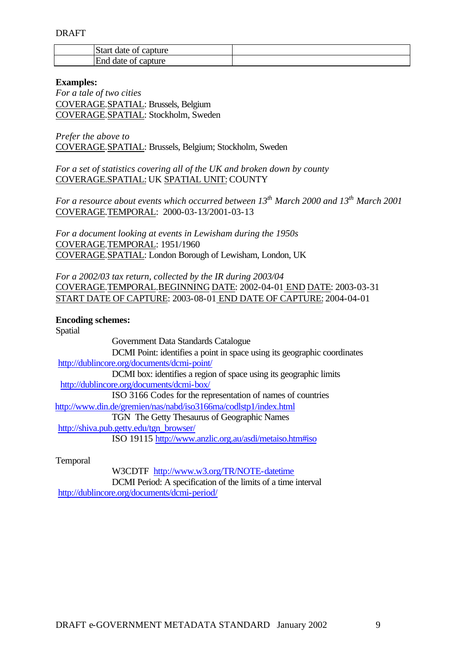| IStart date of capture          |  |
|---------------------------------|--|
| <b>End</b><br>l date of capture |  |

#### **Examples:**

*For a tale of two cities* COVERAGE.SPATIAL: Brussels, Belgium COVERAGE.SPATIAL: Stockholm, Sweden

*Prefer the above to* COVERAGE.SPATIAL: Brussels, Belgium; Stockholm, Sweden

*For a set of statistics covering all of the UK and broken down by county* COVERAGE.SPATIAL: UK SPATIAL UNIT: COUNTY

*For a resource about events which occurred between 13th March 2000 and 13th March 2001* COVERAGE.TEMPORAL: 2000-03-13/2001-03-13

*For a document looking at events in Lewisham during the 1950s* COVERAGE.TEMPORAL: 1951/1960 COVERAGE.SPATIAL: London Borough of Lewisham, London, UK

*For a 2002/03 tax return, collected by the IR during 2003/04* COVERAGE.TEMPORAL.BEGINNING DATE: 2002-04-01 END DATE: 2003-03-31 START DATE OF CAPTURE: 2003-08-01 END DATE OF CAPTURE: 2004-04-01

**Encoding schemes:** 

Spatial

Government Data Standards Catalogue DCMI Point: identifies a point in space using its geographic coordinates http://dublincore.org/documents/dcmi-point/ DCMI box: identifies a region of space using its geographic limits http://dublincore.org/documents/dcmi-box/ ISO 3166 Codes for the representation of names of countries http://www.din.de/gremien/nas/nabd/iso3166ma/codlstp1/index.html TGN The Getty Thesaurus of Geographic Names http://shiva.pub.getty.edu/tgn\_browser/ ISO 19115 http://www.anzlic.org.au/asdi/metaiso.htm#iso

Temporal

W3CDTF http://www.w3.org/TR/NOTE-datetime

DCMI Period: A specification of the limits of a time interval http://dublincore.org/documents/dcmi-period/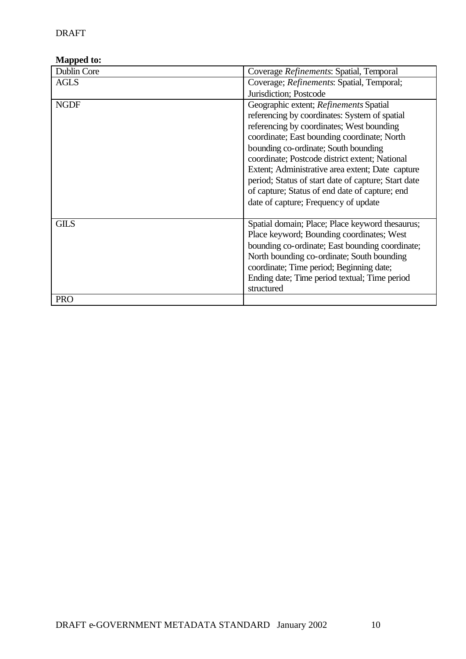| Dublin Core | Coverage Refinements: Spatial, Temporal                                                                                                                                                                                                                                                                                                                                                                                                                                            |
|-------------|------------------------------------------------------------------------------------------------------------------------------------------------------------------------------------------------------------------------------------------------------------------------------------------------------------------------------------------------------------------------------------------------------------------------------------------------------------------------------------|
| <b>AGLS</b> | Coverage; <i>Refinements</i> : Spatial, Temporal;                                                                                                                                                                                                                                                                                                                                                                                                                                  |
|             | Jurisdiction; Postcode                                                                                                                                                                                                                                                                                                                                                                                                                                                             |
| <b>NGDF</b> | Geographic extent; Refinements Spatial<br>referencing by coordinates: System of spatial<br>referencing by coordinates; West bounding<br>coordinate; East bounding coordinate; North<br>bounding co-ordinate; South bounding<br>coordinate; Postcode district extent; National<br>Extent; Administrative area extent; Date capture<br>period; Status of start date of capture; Start date<br>of capture; Status of end date of capture; end<br>date of capture; Frequency of update |
| <b>GILS</b> | Spatial domain; Place; Place keyword thesaurus;<br>Place keyword; Bounding coordinates; West<br>bounding co-ordinate; East bounding coordinate;<br>North bounding co-ordinate; South bounding<br>coordinate; Time period; Beginning date;<br>Ending date; Time period textual; Time period<br>structured                                                                                                                                                                           |
| <b>PRO</b>  |                                                                                                                                                                                                                                                                                                                                                                                                                                                                                    |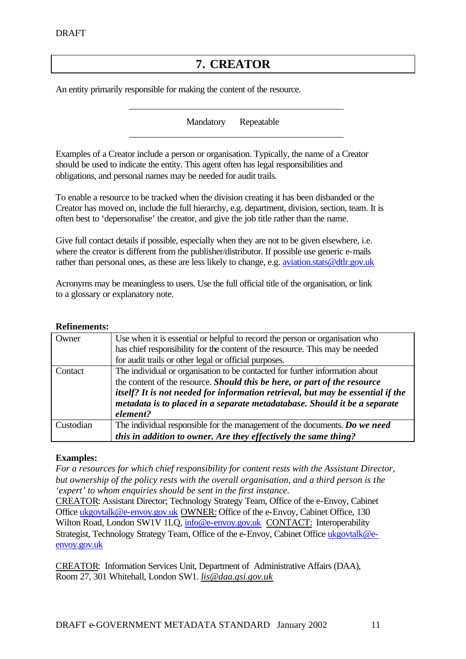## **7. CREATOR**

An entity primarily responsible for making the content of the resource.

Mandatory Repeatable

Examples of a Creator include a person or organisation. Typically, the name of a Creator should be used to indicate the entity. This agent often has legal responsibilities and obligations, and personal names may be needed for audit trails.

To enable a resource to be tracked when the division creating it has been disbanded or the Creator has moved on, include the full hierarchy, e.g. department, division, section, team. It is often best to 'depersonalise' the creator, and give the job title rather than the name.

Give full contact details if possible, especially when they are not to be given elsewhere, i.e. where the creator is different from the publisher/distributor. If possible use generic e-mails rather than personal ones, as these are less likely to change, e.g. aviation.stats@dtlr.gov.uk

Acronyms may be meaningless to users. Use the full official title of the organisation, or link to a glossary or explanatory note.

#### **Refinements:**

| Owner     | Use when it is essential or helpful to record the person or organisation who<br>has chief responsibility for the content of the resource. This may be needed<br>for audit trails or other legal or official purposes.                                                                                                                 |
|-----------|---------------------------------------------------------------------------------------------------------------------------------------------------------------------------------------------------------------------------------------------------------------------------------------------------------------------------------------|
| Contact   | The individual or organisation to be contacted for further information about<br>the content of the resource. Should this be here, or part of the resource<br>itself? It is not needed for information retrieval, but may be essential if the<br>metadata is to placed in a separate metadatabase. Should it be a separate<br>element? |
| Custodian | The individual responsible for the management of the documents. Do we need<br>this in addition to owner. Are they effectively the same thing?                                                                                                                                                                                         |

#### **Examples:**

*For a resources for which chief responsibility for content rests with the Assistant Director, but ownership of the policy rests with the overall organisation, and a third person is the 'expert' to whom enquiries should be sent in the first instance.*

CREATOR: Assistant Director; Technology Strategy Team, Office of the e-Envoy, Cabinet Office ukgovtalk@e-envoy.gov.uk OWNER: Office of the e-Envoy, Cabinet Office, 130 Wilton Road, London SW1V 1LQ, info@e-envoy.gov.uk CONTACT: Interoperability Strategist, Technology Strategy Team, Office of the e-Envoy, Cabinet Office ukgovtalk@eenvoy.gov.uk

CREATOR: Information Services Unit, Department of Administrative Affairs (DAA), Room 27, 301 Whitehall, London SW1. *lis@daa.gsi.gov.uk*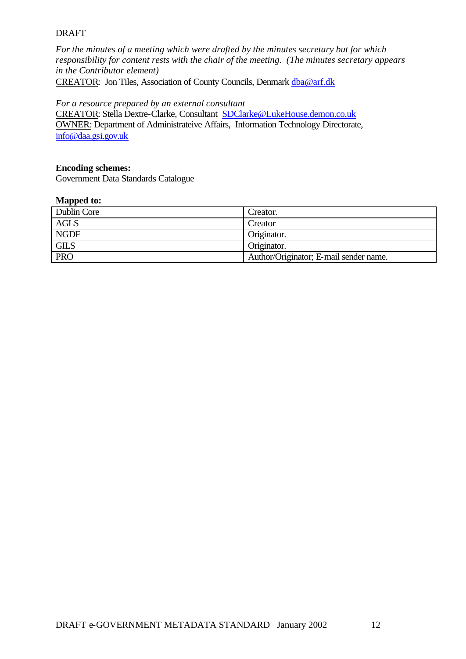*For the minutes of a meeting which were drafted by the minutes secretary but for which responsibility for content rests with the chair of the meeting. (The minutes secretary appears in the Contributor element)*  CREATOR: Jon Tiles, Association of County Councils, Denmark dba@arf.dk

#### *For a resource prepared by an external consultant*

CREATOR: Stella Dextre-Clarke, Consultant SDClarke@LukeHouse.demon.co.uk OWNER: Department of Administrateive Affairs, Information Technology Directorate, info@daa.gsi.gov.uk

#### **Encoding schemes:**

Government Data Standards Catalogue

| .           |                                        |
|-------------|----------------------------------------|
| Dublin Core | Creator.                               |
| AGLS        | Creator                                |
| <b>NGDF</b> | Originator.                            |
| <b>GILS</b> | Originator.                            |
| <b>PRO</b>  | Author/Originator; E-mail sender name. |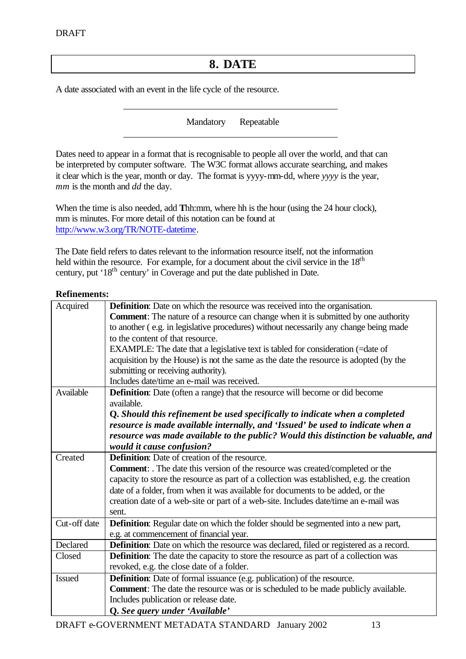## **8. DATE**

A date associated with an event in the life cycle of the resource.

Mandatory Repeatable

Dates need to appear in a format that is recognisable to people all over the world, and that can be interpreted by computer software. The W3C format allows accurate searching, and makes it clear which is the year, month or day. The format is yyyy-mm-dd, where *yyyy* is the year, *mm* is the month and *dd* the day.

When the time is also needed, add **T**hh:mm, where hh is the hour (using the 24 hour clock), mm is minutes. For more detail of this notation can be found at http://www.w3.org/TR/NOTE-datetime.

The Date field refers to dates relevant to the information resource itself, not the information held within the resource. For example, for a document about the civil service in the  $18<sup>th</sup>$ century, put '18<sup>th</sup> century' in Coverage and put the date published in Date.

#### **Refinements:**

| Acquired      | <b>Definition:</b> Date on which the resource was received into the organisation.            |  |
|---------------|----------------------------------------------------------------------------------------------|--|
|               | <b>Comment:</b> The nature of a resource can change when it is submitted by one authority    |  |
|               | to another (e.g. in legislative procedures) without necessarily any change being made        |  |
|               | to the content of that resource.                                                             |  |
|               | EXAMPLE: The date that a legislative text is tabled for consideration (=date of              |  |
|               | acquisition by the House) is not the same as the date the resource is adopted (by the        |  |
|               | submitting or receiving authority).                                                          |  |
|               | Includes date/time an e-mail was received.                                                   |  |
| Available     | <b>Definition:</b> Date (often a range) that the resource will become or did become          |  |
|               | available.                                                                                   |  |
|               | Q. Should this refinement be used specifically to indicate when a completed                  |  |
|               | resource is made available internally, and 'Issued' be used to indicate when a               |  |
|               | resource was made available to the public? Would this distinction be valuable, and           |  |
|               | would it cause confusion?                                                                    |  |
| Created       | <b>Definition:</b> Date of creation of the resource.                                         |  |
|               | <b>Comment:</b> . The date this version of the resource was created/completed or the         |  |
|               | capacity to store the resource as part of a collection was established, e.g. the creation    |  |
|               | date of a folder, from when it was available for documents to be added, or the               |  |
|               | creation date of a web-site or part of a web-site. Includes date/time an e-mail was          |  |
|               | sent.                                                                                        |  |
| Cut-off date  | <b>Definition:</b> Regular date on which the folder should be segmented into a new part,     |  |
|               | e.g. at commencement of financial year.                                                      |  |
| Declared      | <b>Definition:</b> Date on which the resource was declared, filed or registered as a record. |  |
| Closed        | <b>Definition:</b> The date the capacity to store the resource as part of a collection was   |  |
|               | revoked, e.g. the close date of a folder.                                                    |  |
| <b>Issued</b> | <b>Definition:</b> Date of formal issuance (e.g. publication) of the resource.               |  |
|               | <b>Comment:</b> The date the resource was or is scheduled to be made publicly available.     |  |
|               | Includes publication or release date.                                                        |  |
|               | Q. See query under 'Available'                                                               |  |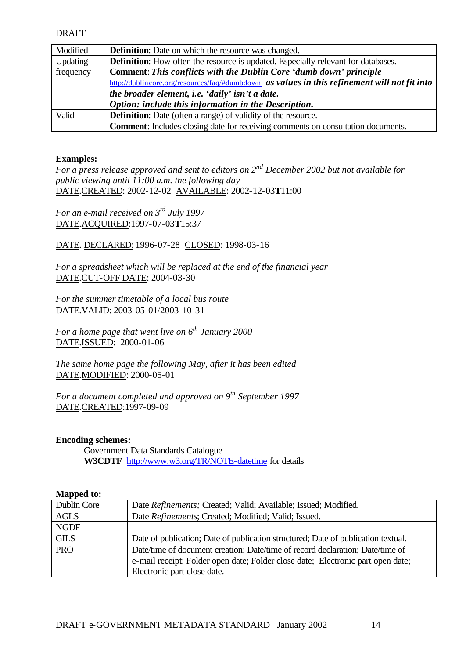| Modified  | <b>Definition:</b> Date on which the resource was changed.                                   |  |
|-----------|----------------------------------------------------------------------------------------------|--|
| Updating  | <b>Definition:</b> How often the resource is updated. Especially relevant for databases.     |  |
| frequency | Comment: This conflicts with the Dublin Core 'dumb down' principle                           |  |
|           | http://dublincore.org/resources/faq/#dumbdown as values in this refinement will not fit into |  |
|           | the broader element, i.e. 'daily' isn't a date.                                              |  |
|           | Option: include this information in the Description.                                         |  |
| Valid     | <b>Definition:</b> Date (often a range) of validity of the resource.                         |  |
|           | <b>Comment:</b> Includes closing date for receiving comments on consultation documents.      |  |

#### **Examples:**

*For a press release approved and sent to editors on 2nd December 2002 but not available for public viewing until 11:00 a.m. the following day*  DATE.CREATED: 2002-12-02 AVAILABLE: 2002-12-03**T**11:00

*For an e-mail received on 3rd July 1997* DATE.ACQUIRED:1997-07-03**T**15:37

DATE. DECLARED: 1996-07-28 CLOSED: 1998-03-16

*For a spreadsheet which will be replaced at the end of the financial year* DATE.CUT-OFF DATE: 2004-03-30

*For the summer timetable of a local bus route*  DATE.VALID: 2003-05-01/2003-10-31

*For a home page that went live on 6th January 2000* DATE.ISSUED: 2000-01-06

*The same home page the following May, after it has been edited* DATE.MODIFIED: 2000-05-01

*For a document completed and approved on 9th September 1997* DATE.CREATED:1997-09-09

#### **Encoding schemes:**

Government Data Standards Catalogue **W3CDTF** http://www.w3.org/TR/NOTE-datetime for details

| Dublin Core | Date Refinements; Created; Valid; Available; Issued; Modified.                    |
|-------------|-----------------------------------------------------------------------------------|
| <b>AGLS</b> | Date Refinements; Created; Modified; Valid; Issued.                               |
| <b>NGDF</b> |                                                                                   |
| <b>GILS</b> | Date of publication; Date of publication structured; Date of publication textual. |
| <b>PRO</b>  | Date/time of document creation; Date/time of record declaration; Date/time of     |
|             | e-mail receipt; Folder open date; Folder close date; Electronic part open date;   |
|             | Electronic part close date.                                                       |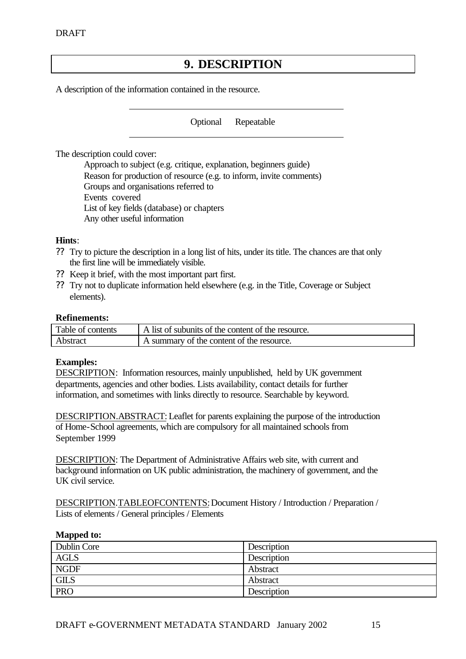## **9. DESCRIPTION**

A description of the information contained in the resource.

Optional Repeatable

The description could cover:

Approach to subject (e.g. critique, explanation, beginners guide) Reason for production of resource (e.g. to inform, invite comments) Groups and organisations referred to Events covered List of key fields (database) or chapters Any other useful information

#### **Hints**:

- ?? Try to picture the description in a long list of hits, under its title. The chances are that only the first line will be immediately visible.
- ?? Keep it brief, with the most important part first.
- ?? Try not to duplicate information held elsewhere (e.g. in the Title, Coverage or Subject elements).

#### **Refinements:**

| Table of contents | A list of subunits of the content of the resource. |
|-------------------|----------------------------------------------------|
| Abstract          | I A summary of the content of the resource.        |

#### **Examples:**

DESCRIPTION: Information resources, mainly unpublished, held by UK government departments, agencies and other bodies. Lists availability, contact details for further information, and sometimes with links directly to resource. Searchable by keyword.

DESCRIPTION.ABSTRACT: Leaflet for parents explaining the purpose of the introduction of Home-School agreements, which are compulsory for all maintained schools from September 1999

DESCRIPTION: The Department of Administrative Affairs web site, with current and background information on UK public administration, the machinery of government, and the UK civil service.

DESCRIPTION.TABLEOFCONTENTS: Document History / Introduction / Preparation / Lists of elements / General principles / Elements

| Dublin Core | Description |
|-------------|-------------|
| <b>AGLS</b> | Description |
| <b>NGDF</b> | Abstract    |
| <b>GILS</b> | Abstract    |
| <b>PRO</b>  | Description |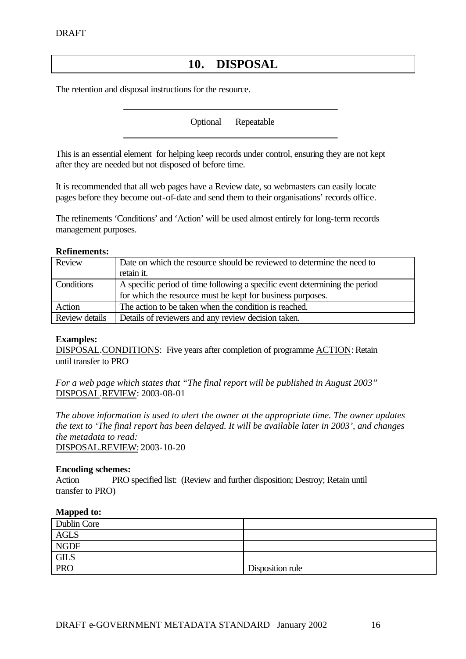## **10. DISPOSAL**

The retention and disposal instructions for the resource.

Optional Repeatable

This is an essential element for helping keep records under control, ensuring they are not kept after they are needed but not disposed of before time.

It is recommended that all web pages have a Review date, so webmasters can easily locate pages before they become out-of-date and send them to their organisations' records office.

The refinements 'Conditions' and 'Action' will be used almost entirely for long-term records management purposes.

#### **Refinements:**

| Review         | Date on which the resource should be reviewed to determine the need to<br>retain it.                                                      |
|----------------|-------------------------------------------------------------------------------------------------------------------------------------------|
| Conditions     | A specific period of time following a specific event determining the period<br>for which the resource must be kept for business purposes. |
| Action         | The action to be taken when the condition is reached.                                                                                     |
| Review details | Details of reviewers and any review decision taken.                                                                                       |

#### **Examples:**

DISPOSAL.CONDITIONS: Five years after completion of programme ACTION: Retain until transfer to PRO

*For a web page which states that "The final report will be published in August 2003"* DISPOSAL.REVIEW: 2003-08-01

*The above information is used to alert the owner at the appropriate time. The owner updates the text to 'The final report has been delayed. It will be available later in 2003', and changes the metadata to read:* DISPOSAL.REVIEW: 2003-10-20

#### **Encoding schemes:**

Action PRO specified list: (Review and further disposition; Destroy; Retain until transfer to PRO)

| Dublin Core |                  |
|-------------|------------------|
| <b>AGLS</b> |                  |
| <b>NGDF</b> |                  |
| <b>GILS</b> |                  |
| <b>PRO</b>  | Disposition rule |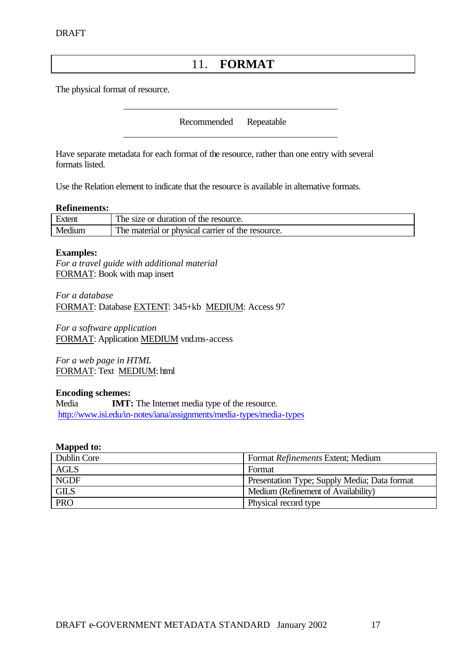## 11. **FORMAT**

The physical format of resource.

Recommended Repeatable

Have separate metadata for each format of the resource, rather than one entry with several formats listed.

Use the Relation element to indicate that the resource is available in alternative formats.

#### **Refinements:**

| Extent | The size or duration of the resource.             |
|--------|---------------------------------------------------|
| Medium | The material or physical carrier of the resource. |

#### **Examples:**

*For a travel guide with additional material* FORMAT: Book with map insert

*For a database* FORMAT: Database EXTENT: 345+kb MEDIUM: Access 97

*For a software application* FORMAT: Application MEDIUM vnd.ms-access

*For a web page in HTML* FORMAT: Text MEDIUM: html

#### **Encoding schemes:**

Media **IMT:** The Internet media type of the resource. http://www.isi.edu/in-notes/iana/assignments/media-types/media-types

| Dublin Core | Format Refinements Extent; Medium            |
|-------------|----------------------------------------------|
| <b>AGLS</b> | Format                                       |
| <b>NGDF</b> | Presentation Type; Supply Media; Data format |
| <b>GILS</b> | Medium (Refinement of Availability)          |
| <b>PRO</b>  | Physical record type                         |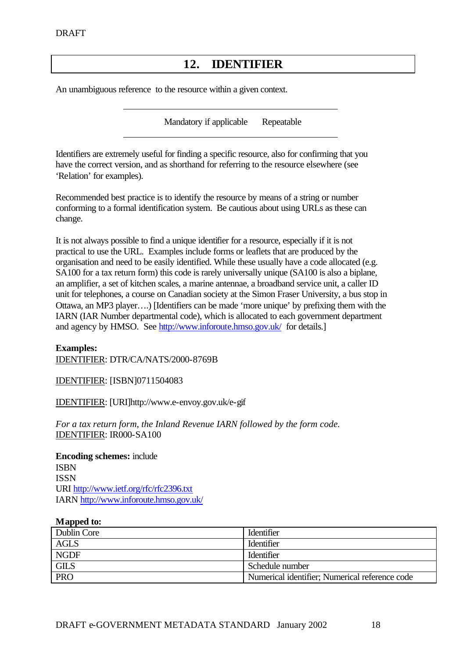## **12. IDENTIFIER**

An unambiguous reference to the resource within a given context.

Mandatory if applicable Repeatable

Identifiers are extremely useful for finding a specific resource, also for confirming that you have the correct version, and as shorthand for referring to the resource elsewhere (see 'Relation' for examples).

Recommended best practice is to identify the resource by means of a string or number conforming to a formal identification system. Be cautious about using URLs as these can change.

It is not always possible to find a unique identifier for a resource, especially if it is not practical to use the URL. Examples include forms or leaflets that are produced by the organisation and need to be easily identified. While these usually have a code allocated (e.g. SA100 for a tax return form) this code is rarely universally unique (SA100 is also a biplane, an amplifier, a set of kitchen scales, a marine antennae, a broadband service unit, a caller ID unit for telephones, a course on Canadian society at the Simon Fraser University, a bus stop in Ottawa, an MP3 player….) [Identifiers can be made 'more unique' by prefixing them with the IARN (IAR Number departmental code), which is allocated to each government department and agency by HMSO. See http://www.inforoute.hmso.gov.uk/ for details.]

#### **Examples:** IDENTIFIER: DTR/CA/NATS/2000-8769B

IDENTIFIER: [ISBN]0711504083

IDENTIFIER: [URI]http://www.e-envoy.gov.uk/e-gif

*For a tax return form, the Inland Revenue IARN followed by the form code.* IDENTIFIER: IR000-SA100

**Encoding schemes:** include ISBN ISSN URI http://www.ietf.org/rfc/rfc2396.txt IARN http://www.inforoute.hmso.gov.uk/

| Dublin Core | Identifier                                     |
|-------------|------------------------------------------------|
| AGLS        | <b>Identifier</b>                              |
| <b>NGDF</b> | Identifier                                     |
| <b>GILS</b> | Schedule number                                |
| <b>PRO</b>  | Numerical identifier; Numerical reference code |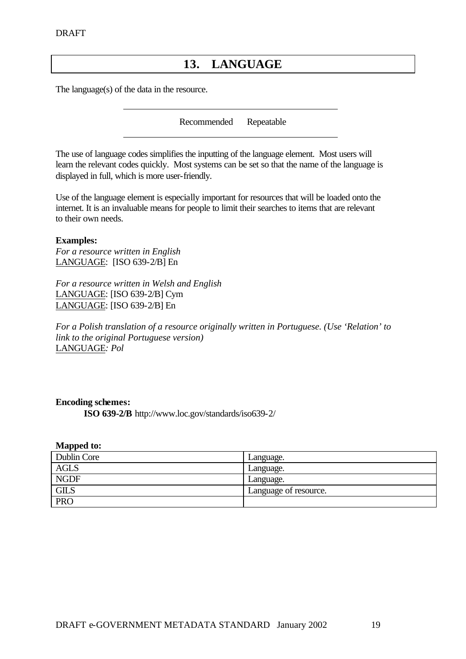## **13. LANGUAGE**

The language(s) of the data in the resource.

Recommended Repeatable

The use of language codes simplifies the inputting of the language element. Most users will learn the relevant codes quickly. Most systems can be set so that the name of the language is displayed in full, which is more user-friendly.

Use of the language element is especially important for resources that will be loaded onto the internet. It is an invaluable means for people to limit their searches to items that are relevant to their own needs.

#### **Examples:**

*For a resource written in English* LANGUAGE: [ISO 639-2/B] En

*For a resource written in Welsh and English* LANGUAGE: [ISO 639-2/B] Cym LANGUAGE: [ISO 639-2/B] En

*For a Polish translation of a resource originally written in Portuguese. (Use 'Relation' to link to the original Portuguese version)* LANGUAGE*: Pol*

#### **Encoding schemes:**

**ISO 639-2/B** http://www.loc.gov/standards/iso639-2/

| Dublin Core | Language.             |
|-------------|-----------------------|
| <b>AGLS</b> | Language.             |
| <b>NGDF</b> | Language.             |
| <b>GILS</b> | Language of resource. |
| <b>PRO</b>  |                       |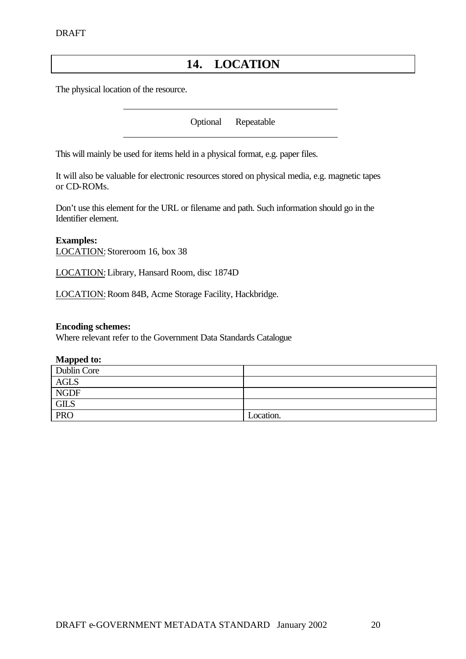## **14. LOCATION**

The physical location of the resource.

Optional Repeatable

This will mainly be used for items held in a physical format, e.g. paper files.

It will also be valuable for electronic resources stored on physical media, e.g. magnetic tapes or CD-ROMs.

Don't use this element for the URL or filename and path. Such information should go in the Identifier element.

**Examples:** LOCATION: Storeroom 16, box 38

LOCATION: Library, Hansard Room, disc 1874D

LOCATION: Room 84B, Acme Storage Facility, Hackbridge.

#### **Encoding schemes:**

Where relevant refer to the Government Data Standards Catalogue

| - -         |           |
|-------------|-----------|
| Dublin Core |           |
| <b>AGLS</b> |           |
| <b>NGDF</b> |           |
| <b>GILS</b> |           |
| <b>PRO</b>  | Location. |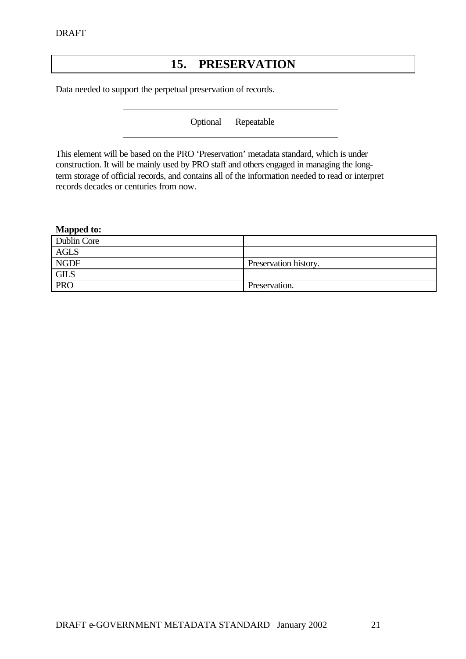## **15. PRESERVATION**

Data needed to support the perpetual preservation of records.

Optional Repeatable

This element will be based on the PRO 'Preservation' metadata standard, which is under construction. It will be mainly used by PRO staff and others engaged in managing the longterm storage of official records, and contains all of the information needed to read or interpret records decades or centuries from now.

#### **Mapped to:**  Dublin Core AGLS NGDF Preservation history. GILS PRO Preservation.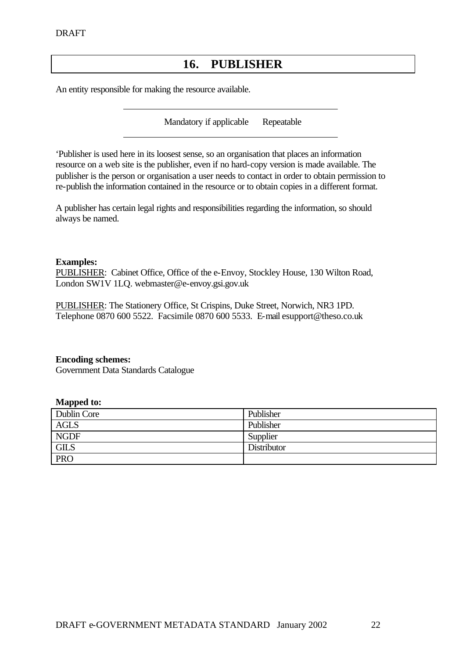## **16. PUBLISHER**

An entity responsible for making the resource available.

Mandatory if applicable Repeatable

'Publisher is used here in its loosest sense, so an organisation that places an information resource on a web site is the publisher, even if no hard-copy version is made available. The publisher is the person or organisation a user needs to contact in order to obtain permission to re-publish the information contained in the resource or to obtain copies in a different format.

A publisher has certain legal rights and responsibilities regarding the information, so should always be named.

#### **Examples:**

PUBLISHER: Cabinet Office, Office of the e-Envoy, Stockley House, 130 Wilton Road, London SW1V 1LQ. webmaster@e-envoy.gsi.gov.uk

PUBLISHER: The Stationery Office, St Crispins, Duke Street, Norwich, NR3 1PD. Telephone 0870 600 5522. Facsimile 0870 600 5533. E-mail esupport@theso.co.uk

#### **Encoding schemes:**

Government Data Standards Catalogue

| Dublin Core | Publisher   |
|-------------|-------------|
| <b>AGLS</b> | Publisher   |
| <b>NGDF</b> | Supplier    |
| <b>GILS</b> | Distributor |
| <b>PRO</b>  |             |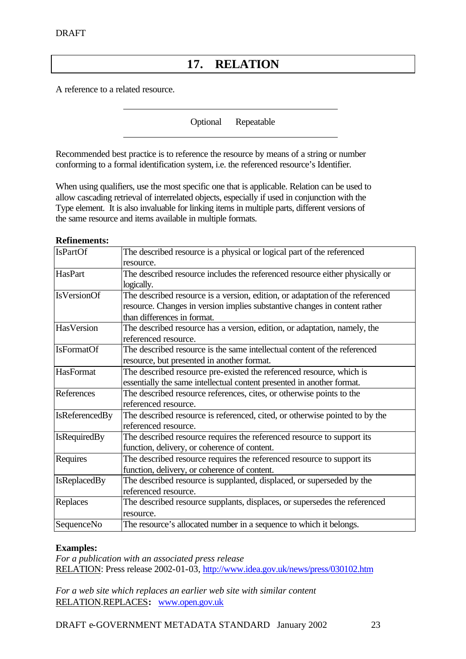## **17. RELATION**

A reference to a related resource.

Optional Repeatable

Recommended best practice is to reference the resource by means of a string or number conforming to a formal identification system, i.e. the referenced resource's Identifier.

When using qualifiers, use the most specific one that is applicable. Relation can be used to allow cascading retrieval of interrelated objects, especially if used in conjunction with the Type element. It is also invaluable for linking items in multiple parts, different versions of the same resource and items available in multiple formats.

#### **Refinements:**

| <b>IsPartOf</b>       | The described resource is a physical or logical part of the referenced        |
|-----------------------|-------------------------------------------------------------------------------|
|                       | resource.                                                                     |
| HasPart               | The described resource includes the referenced resource either physically or  |
|                       | logically.                                                                    |
| <b>IsVersionOf</b>    | The described resource is a version, edition, or adaptation of the referenced |
|                       | resource. Changes in version implies substantive changes in content rather    |
|                       | than differences in format.                                                   |
| HasVersion            | The described resource has a version, edition, or adaptation, namely, the     |
|                       | referenced resource.                                                          |
| <b>IsFormatOf</b>     | The described resource is the same intellectual content of the referenced     |
|                       | resource, but presented in another format.                                    |
| HasFormat             | The described resource pre-existed the referenced resource, which is          |
|                       | essentially the same intellectual content presented in another format.        |
| References            | The described resource references, cites, or otherwise points to the          |
|                       | referenced resource.                                                          |
| <b>IsReferencedBy</b> | The described resource is referenced, cited, or otherwise pointed to by the   |
|                       | referenced resource.                                                          |
| <b>IsRequiredBy</b>   | The described resource requires the referenced resource to support its        |
|                       | function, delivery, or coherence of content.                                  |
| Requires              | The described resource requires the referenced resource to support its        |
|                       | function, delivery, or coherence of content.                                  |
| <b>IsReplacedBy</b>   | The described resource is supplanted, displaced, or superseded by the         |
|                       | referenced resource.                                                          |
| Replaces              | The described resource supplants, displaces, or supersedes the referenced     |
|                       | resource.                                                                     |
| SequenceNo            | The resource's allocated number in a sequence to which it belongs.            |

#### **Examples:**

*For a publication with an associated press release* RELATION: Press release 2002-01-03, http://www.idea.gov.uk/news/press/030102.htm

*For a web site which replaces an earlier web site with similar content* RELATION.REPLACES**:** www.open.gov.uk

DRAFT e-GOVERNMENT METADATA STANDARD January 2002 23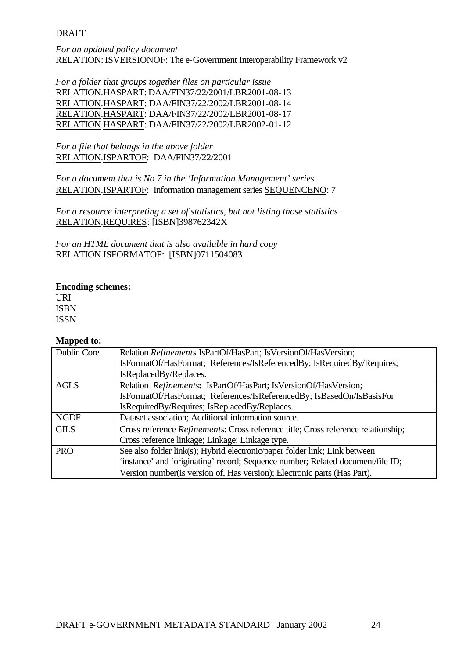*For an updated policy document* RELATION: ISVERSIONOF: The e-Government Interoperability Framework v2

*For a folder that groups together files on particular issue* RELATION.HASPART: DAA/FIN37/22/2001/LBR2001-08-13 RELATION.HASPART: DAA/FIN37/22/2002/LBR2001-08-14 RELATION.HASPART: DAA/FIN37/22/2002/LBR2001-08-17 RELATION.HASPART: DAA/FIN37/22/2002/LBR2002-01-12

*For a file that belongs in the above folder* RELATION.ISPARTOF: DAA/FIN37/22/2001

*For a document that is No 7 in the 'Information Management' series* RELATION.ISPARTOF: Information management series SEQUENCENO: 7

*For a resource interpreting a set of statistics, but not listing those statistics* RELATION.REQUIRES: [ISBN]398762342X

*For an HTML document that is also available in hard copy* RELATION.ISFORMATOF: [ISBN]0711504083

#### **Encoding schemes:**

URI ISBN ISSN

| Dublin Core | Relation Refinements IsPartOf/HasPart; IsVersionOf/HasVersion;                            |
|-------------|-------------------------------------------------------------------------------------------|
|             | IsFormatOf/HasFormat; References/IsReferencedBy; IsRequiredBy/Requires;                   |
|             | IsReplacedBy/Replaces.                                                                    |
| <b>AGLS</b> | Relation Refinements: IsPartOf/HasPart; IsVersionOf/HasVersion;                           |
|             | IsFormatOf/HasFormat; References/IsReferencedBy; IsBasedOn/IsBasisFor                     |
|             | IsRequiredBy/Requires; IsReplacedBy/Replaces.                                             |
| <b>NGDF</b> | Dataset association; Additional information source.                                       |
| <b>GILS</b> | Cross reference <i>Refinements</i> : Cross reference title; Cross reference relationship; |
|             | Cross reference linkage; Linkage; Linkage type.                                           |
| <b>PRO</b>  | See also folder link(s); Hybrid electronic/paper folder link; Link between                |
|             | 'instance' and 'originating' record; Sequence number; Related document/file ID;           |
|             | Version number (is version of, Has version); Electronic parts (Has Part).                 |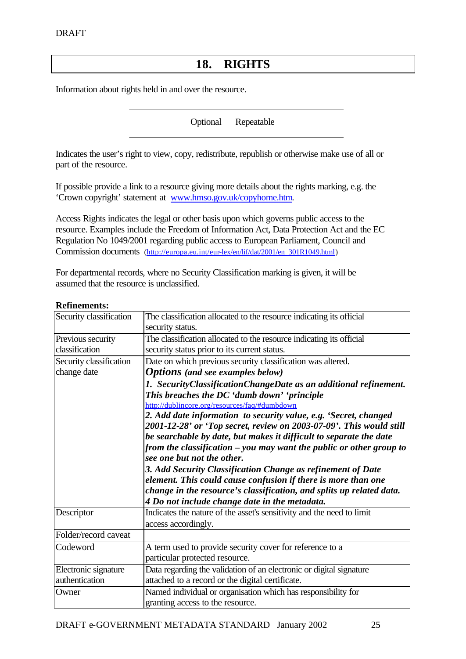## **18. RIGHTS**

Information about rights held in and over the resource.

Optional Repeatable

Indicates the user's right to view, copy, redistribute, republish or otherwise make use of all or part of the resource.

If possible provide a link to a resource giving more details about the rights marking, e.g. the 'Crown copyright' statement at www.hmso.gov.uk/copyhome.htm.

Access Rights indicates the legal or other basis upon which governs public access to the resource. Examples include the Freedom of Information Act, Data Protection Act and the EC Regulation No 1049/2001 regarding public access to European Parliament, Council and Commission documents (http://europa.eu.int/eur-lex/en/lif/dat/2001/en\_301R1049.html)

For departmental records, where no Security Classification marking is given, it will be assumed that the resource is unclassified.

#### **Refinements:**

| Security classification                | The classification allocated to the resource indicating its official<br>security status.                                                                                                                                                                                                                                                                                                                                                                                                                                                                                                                                                                                                                                                        |
|----------------------------------------|-------------------------------------------------------------------------------------------------------------------------------------------------------------------------------------------------------------------------------------------------------------------------------------------------------------------------------------------------------------------------------------------------------------------------------------------------------------------------------------------------------------------------------------------------------------------------------------------------------------------------------------------------------------------------------------------------------------------------------------------------|
| Previous security<br>classification    | The classification allocated to the resource indicating its official<br>security status prior to its current status.                                                                                                                                                                                                                                                                                                                                                                                                                                                                                                                                                                                                                            |
| Security classification<br>change date | Date on which previous security classification was altered.<br><b>Options</b> (and see examples below)                                                                                                                                                                                                                                                                                                                                                                                                                                                                                                                                                                                                                                          |
|                                        | 1. SecurityClassificationChangeDate as an additional refinement.<br>This breaches the DC 'dumb down' 'principle<br>http://dublincore.org/resources/faq/#dumbdown<br>2. Add date information to security value, e.g. 'Secret, changed<br>2001-12-28' or 'Top secret, review on 2003-07-09'. This would still<br>be searchable by date, but makes it difficult to separate the date<br>from the classification – you may want the public or other group to<br>see one but not the other.<br>3. Add Security Classification Change as refinement of Date<br>element. This could cause confusion if there is more than one<br>change in the resource's classification, and splits up related data.<br>4 Do not include change date in the metadata. |
| Descriptor                             | Indicates the nature of the asset's sensitivity and the need to limit<br>access accordingly.                                                                                                                                                                                                                                                                                                                                                                                                                                                                                                                                                                                                                                                    |
| Folder/record caveat                   |                                                                                                                                                                                                                                                                                                                                                                                                                                                                                                                                                                                                                                                                                                                                                 |
| Codeword                               | A term used to provide security cover for reference to a<br>particular protected resource.                                                                                                                                                                                                                                                                                                                                                                                                                                                                                                                                                                                                                                                      |
| Electronic signature<br>authentication | Data regarding the validation of an electronic or digital signature<br>attached to a record or the digital certificate.                                                                                                                                                                                                                                                                                                                                                                                                                                                                                                                                                                                                                         |
| Owner                                  | Named individual or organisation which has responsibility for<br>granting access to the resource.                                                                                                                                                                                                                                                                                                                                                                                                                                                                                                                                                                                                                                               |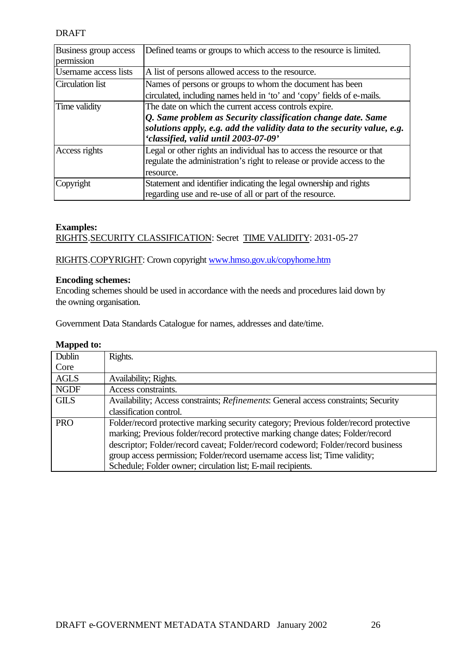| Business group access<br>permission | Defined teams or groups to which access to the resource is limited.                                                                                                                                                                      |
|-------------------------------------|------------------------------------------------------------------------------------------------------------------------------------------------------------------------------------------------------------------------------------------|
| <b>Username</b> access lists        | A list of persons allowed access to the resource.                                                                                                                                                                                        |
| Circulation list                    | Names of persons or groups to whom the document has been<br>circulated, including names held in 'to' and 'copy' fields of e-mails.                                                                                                       |
| Time validity                       | The date on which the current access controls expire.<br>Q. Same problem as Security classification change date. Same<br>solutions apply, e.g. add the validity data to the security value, e.g.<br>'classified, valid until 2003-07-09' |
| Access rights                       | Legal or other rights an individual has to access the resource or that<br>regulate the administration's right to release or provide access to the<br>resource.                                                                           |
| Copyright                           | Statement and identifier indicating the legal ownership and rights<br>regarding use and re-use of all or part of the resource.                                                                                                           |

#### **Examples:**

RIGHTS.SECURITY CLASSIFICATION: Secret TIME VALIDITY: 2031-05-27

RIGHTS.COPYRIGHT: Crown copyright www.hmso.gov.uk/copyhome.htm

#### **Encoding schemes:**

Encoding schemes should be used in accordance with the needs and procedures laid down by the owning organisation.

Government Data Standards Catalogue for names, addresses and date/time.

| Dublin      | Rights.                                                                               |
|-------------|---------------------------------------------------------------------------------------|
| Core        |                                                                                       |
| <b>AGLS</b> | Availability; Rights.                                                                 |
| <b>NGDF</b> | Access constraints.                                                                   |
| <b>GILS</b> | Availability; Access constraints; Refinements: General access constraints; Security   |
|             | classification control.                                                               |
| <b>PRO</b>  | Folder/record protective marking security category; Previous folder/record protective |
|             | marking; Previous folder/record protective marking change dates; Folder/record        |
|             | descriptor; Folder/record caveat; Folder/record codeword; Folder/record business      |
|             | group access permission; Folder/record username access list; Time validity;           |
|             | Schedule; Folder owner; circulation list; E-mail recipients.                          |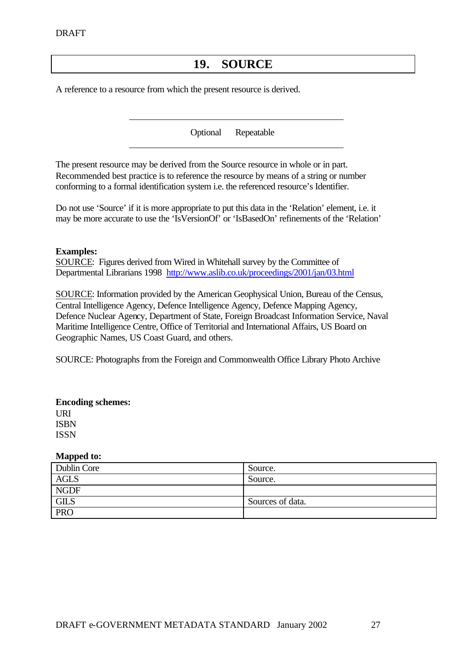## **19. SOURCE**

A reference to a resource from which the present resource is derived.

Optional Repeatable

The present resource may be derived from the Source resource in whole or in part. Recommended best practice is to reference the resource by means of a string or number conforming to a formal identification system i.e. the referenced resource's Identifier.

Do not use 'Source' if it is more appropriate to put this data in the 'Relation' element, i.e. it may be more accurate to use the 'IsVersionOf' or 'IsBasedOn' refinements of the 'Relation'

#### **Examples:**

SOURCE: Figures derived from Wired in Whitehall survey by the Committee of Departmental Librarians 1998 http://www.aslib.co.uk/proceedings/2001/jan/03.html

SOURCE: Information provided by the American Geophysical Union, Bureau of the Census, Central Intelligence Agency, Defence Intelligence Agency, Defence Mapping Agency, Defence Nuclear Agency, Department of State, Foreign Broadcast Information Service, Naval Maritime Intelligence Centre, Office of Territorial and International Affairs, US Board on Geographic Names, US Coast Guard, and others.

SOURCE: Photographs from the Foreign and Commonwealth Office Library Photo Archive

#### **Encoding schemes:**

URI ISBN ISSN

| Dublin Core | Source.          |
|-------------|------------------|
| <b>AGLS</b> | Source.          |
| <b>NGDF</b> |                  |
| <b>GILS</b> | Sources of data. |
| <b>PRO</b>  |                  |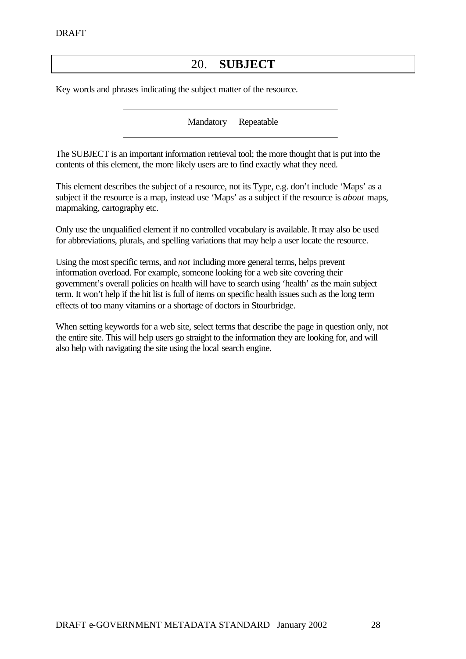## 20. **SUBJECT**

Key words and phrases indicating the subject matter of the resource.

Mandatory Repeatable

The SUBJECT is an important information retrieval tool; the more thought that is put into the contents of this element, the more likely users are to find exactly what they need.

This element describes the subject of a resource, not its Type, e.g. don't include 'Maps' as a subject if the resource is a map, instead use 'Maps' as a subject if the resource is *about* maps, mapmaking, cartography etc.

Only use the unqualified element if no controlled vocabulary is available. It may also be used for abbreviations, plurals, and spelling variations that may help a user locate the resource.

Using the most specific terms, and *not* including more general terms, helps prevent information overload. For example, someone looking for a web site covering their government's overall policies on health will have to search using 'health' as the main subject term. It won't help if the hit list is full of items on specific health issues such as the long term effects of too many vitamins or a shortage of doctors in Stourbridge.

When setting keywords for a web site, select terms that describe the page in question only, not the entire site. This will help users go straight to the information they are looking for, and will also help with navigating the site using the local search engine.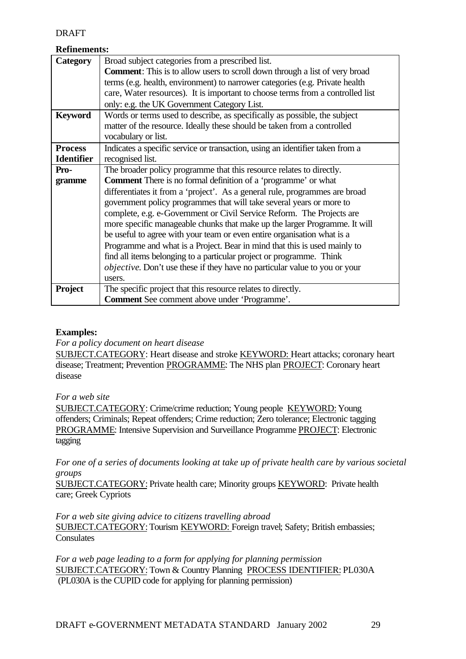#### **Refinements:**

| Category          | Broad subject categories from a prescribed list.                                   |
|-------------------|------------------------------------------------------------------------------------|
|                   |                                                                                    |
|                   | <b>Comment:</b> This is to allow users to scroll down through a list of very broad |
|                   | terms (e.g. health, environment) to narrower categories (e.g. Private health       |
|                   | care, Water resources). It is important to choose terms from a controlled list     |
|                   | only: e.g. the UK Government Category List.                                        |
| <b>Keyword</b>    | Words or terms used to describe, as specifically as possible, the subject          |
|                   | matter of the resource. Ideally these should be taken from a controlled            |
|                   | vocabulary or list.                                                                |
| <b>Process</b>    | Indicates a specific service or transaction, using an identifier taken from a      |
| <b>Identifier</b> | recognised list.                                                                   |
| Pro-              | The broader policy programme that this resource relates to directly.               |
| gramme            | <b>Comment</b> There is no formal definition of a 'programme' or what              |
|                   | differentiates it from a 'project'. As a general rule, programmes are broad        |
|                   | government policy programmes that will take several years or more to               |
|                   | complete, e.g. e-Government or Civil Service Reform. The Projects are              |
|                   | more specific manageable chunks that make up the larger Programme. It will         |
|                   | be useful to agree with your team or even entire organisation what is a            |
|                   | Programme and what is a Project. Bear in mind that this is used mainly to          |
|                   | find all items belonging to a particular project or programme. Think               |
|                   | <i>objective</i> . Don't use these if they have no particular value to you or your |
|                   | users.                                                                             |
| <b>Project</b>    | The specific project that this resource relates to directly.                       |
|                   | <b>Comment</b> See comment above under 'Programme'.                                |

#### **Examples:**

*For a policy document on heart disease*

SUBJECT.CATEGORY: Heart disease and stroke KEYWORD: Heart attacks; coronary heart disease; Treatment; Prevention PROGRAMME: The NHS plan PROJECT: Coronary heart disease

*For a web site* 

SUBJECT.CATEGORY: Crime/crime reduction; Young people KEYWORD: Young offenders; Criminals; Repeat offenders; Crime reduction; Zero tolerance; Electronic tagging PROGRAMME: Intensive Supervision and Surveillance Programme PROJECT: Electronic tagging

*For one of a series of documents looking at take up of private health care by various societal groups*

SUBJECT.CATEGORY: Private health care; Minority groups KEYWORD: Private health care; Greek Cypriots

*For a web site giving advice to citizens travelling abroad* SUBJECT.CATEGORY: Tourism KEYWORD: Foreign travel; Safety; British embassies; **Consulates** 

*For a web page leading to a form for applying for planning permission* SUBJECT.CATEGORY: Town & Country Planning PROCESS IDENTIFIER: PL030A (PL030A is the CUPID code for applying for planning permission)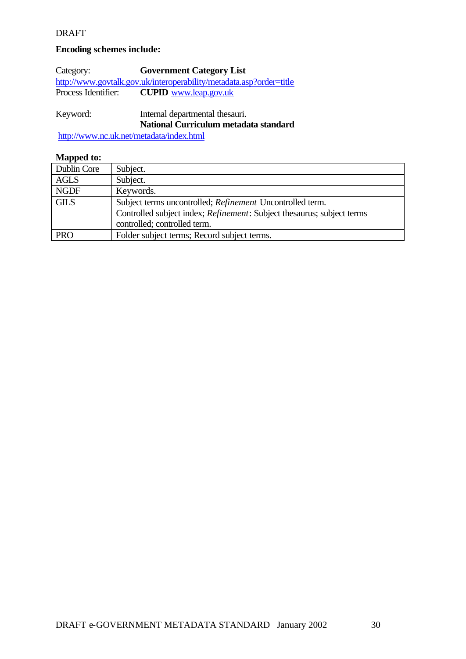#### **Encoding schemes include:**

Category: **Government Category List** http://www.govtalk.gov.uk/interoperability/metadata.asp?order=title<br>Process Identifier: CUPID www.leap.gov.uk CUPID www.leap.gov.uk

Keyword: Internal departmental thesauri. **National Curriculum metadata standard**

http://www.nc.uk.net/metadata/index.html

| Dublin Core | Subject.                                                                       |
|-------------|--------------------------------------------------------------------------------|
| AGLS        | Subject.                                                                       |
| <b>NGDF</b> | Keywords.                                                                      |
| <b>GILS</b> | Subject terms uncontrolled; Refinement Uncontrolled term.                      |
|             | Controlled subject index; <i>Refinement</i> : Subject thesaurus; subject terms |
|             | controlled; controlled term.                                                   |
| <b>PRO</b>  | Folder subject terms; Record subject terms.                                    |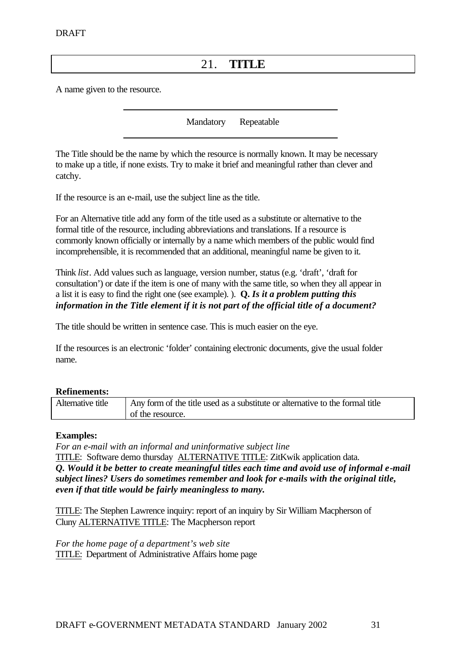## 21. **TITLE**

A name given to the resource.

Mandatory Repeatable

The Title should be the name by which the resource is normally known. It may be necessary to make up a title, if none exists. Try to make it brief and meaningful rather than clever and catchy.

If the resource is an e-mail, use the subject line as the title.

For an Alternative title add any form of the title used as a substitute or alternative to the formal title of the resource, including abbreviations and translations. If a resource is commonly known officially or internally by a name which members of the public would find incomprehensible, it is recommended that an additional, meaningful name be given to it.

Think *list*. Add values such as language, version number, status (e.g. 'draft', 'draft for consultation') or date if the item is one of many with the same title, so when they all appear in a list it is easy to find the right one (see example). ). **Q.** *Is it a problem putting this information in the Title element if it is not part of the official title of a document?*

The title should be written in sentence case. This is much easier on the eye.

If the resources is an electronic 'folder' containing electronic documents, give the usual folder name.

#### **Refinements:**

| Alternative title | Any form of the title used as a substitute or alternative to the formal title |
|-------------------|-------------------------------------------------------------------------------|
|                   | of the resource.                                                              |

#### **Examples:**

*For an e-mail with an informal and uninformative subject line* TITLE: Software demo thursday **ALTERNATIVE TITLE: ZitKwik application data.** *Q. Would it be better to create meaningful titles each time and avoid use of informal e-mail subject lines? Users do sometimes remember and look for e-mails with the original title, even if that title would be fairly meaningless to many.*

TITLE: The Stephen Lawrence inquiry: report of an inquiry by Sir William Macpherson of Cluny ALTERNATIVE TITLE: The Macpherson report

*For the home page of a department's web site* TITLE: Department of Administrative Affairs home page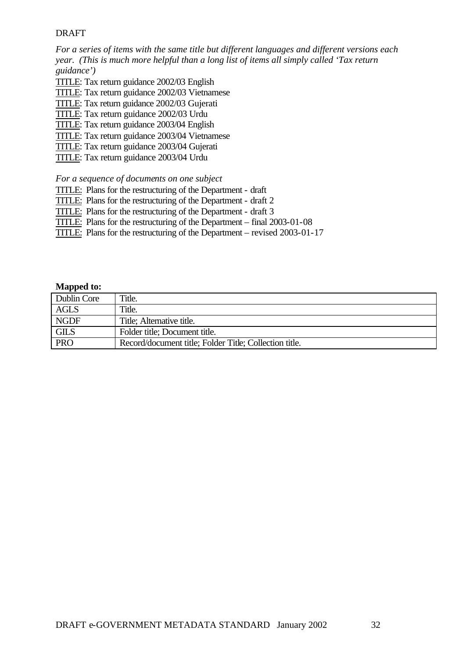*For a series of items with the same title but different languages and different versions each year. (This is much more helpful than a long list of items all simply called 'Tax return guidance')*

- TITLE: Tax return guidance 2002/03 English
- TITLE: Tax return guidance 2002/03 Vietnamese
- TITLE: Tax return guidance 2002/03 Gujerati
- TITLE: Tax return guidance 2002/03 Urdu
- TITLE: Tax return guidance 2003/04 English
- TITLE: Tax return guidance 2003/04 Vietnamese
- TITLE: Tax return guidance 2003/04 Gujerati
- TITLE: Tax return guidance 2003/04 Urdu

*For a sequence of documents on one subject*

- TITLE: Plans for the restructuring of the Department draft
- TITLE: Plans for the restructuring of the Department draft 2
- TITLE: Plans for the restructuring of the Department draft 3
- TITLE: Plans for the restructuring of the Department final 2003-01-08
- TITLE: Plans for the restructuring of the Department revised 2003-01-17

| Dublin Core | Title.                                                 |
|-------------|--------------------------------------------------------|
| <b>AGLS</b> | Title.                                                 |
| <b>NGDF</b> | Title; Alternative title.                              |
| <b>GILS</b> | Folder title; Document title.                          |
| <b>PRO</b>  | Record/document title; Folder Title; Collection title. |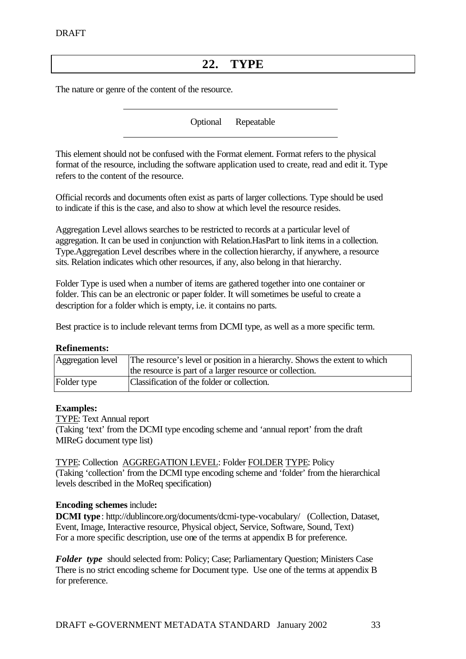## **22. TYPE**

The nature or genre of the content of the resource.

Optional Repeatable

This element should not be confused with the Format element. Format refers to the physical format of the resource, including the software application used to create, read and edit it. Type refers to the content of the resource.

Official records and documents often exist as parts of larger collections. Type should be used to indicate if this is the case, and also to show at which level the resource resides.

Aggregation Level allows searches to be restricted to records at a particular level of aggregation. It can be used in conjunction with Relation.HasPart to link items in a collection. Type.Aggregation Level describes where in the collection hierarchy, if anywhere, a resource sits. Relation indicates which other resources, if any, also belong in that hierarchy.

Folder Type is used when a number of items are gathered together into one container or folder. This can be an electronic or paper folder. It will sometimes be useful to create a description for a folder which is empty, i.e. it contains no parts.

Best practice is to include relevant terms from DCMI type, as well as a more specific term.

#### **Refinements:**

| Aggregation level | The resource's level or position in a hierarchy. Shows the extent to which<br>the resource is part of a larger resource or collection. |
|-------------------|----------------------------------------------------------------------------------------------------------------------------------------|
| Folder type       | Classification of the folder or collection.                                                                                            |

#### **Examples:**

TYPE: Text Annual report

(Taking 'text' from the DCMI type encoding scheme and 'annual report' from the draft MIReG document type list)

TYPE: Collection AGGREGATION LEVEL: Folder FOLDER TYPE: Policy (Taking 'collection' from the DCMI type encoding scheme and 'folder' from the hierarchical levels described in the MoReq specification)

#### **Encoding schemes** include**:**

**DCMI type** : http://dublincore.org/documents/dcmi-type-vocabulary/ (Collection, Dataset, Event, Image, Interactive resource, Physical object, Service, Software, Sound, Text) For a more specific description, use one of the terms at appendix B for preference.

*Folder type* should selected from: Policy; Case; Parliamentary Question; Ministers Case There is no strict encoding scheme for Document type. Use one of the terms at appendix B for preference.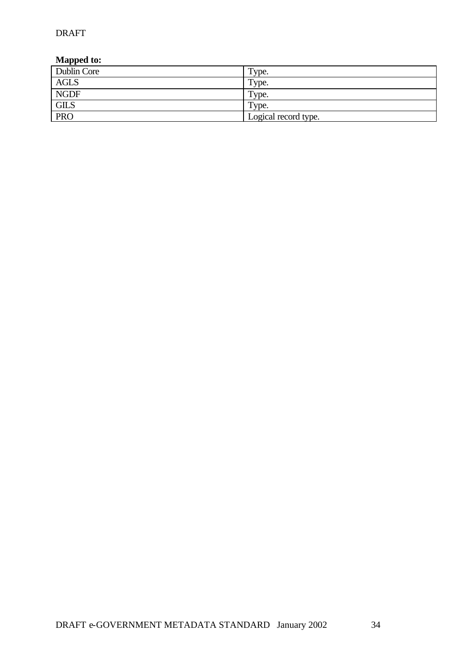| Dublin Core | Type.                |
|-------------|----------------------|
| AGLS        | Type.                |
| <b>NGDF</b> | Type.                |
| <b>GILS</b> | Type.                |
| <b>PRO</b>  | Logical record type. |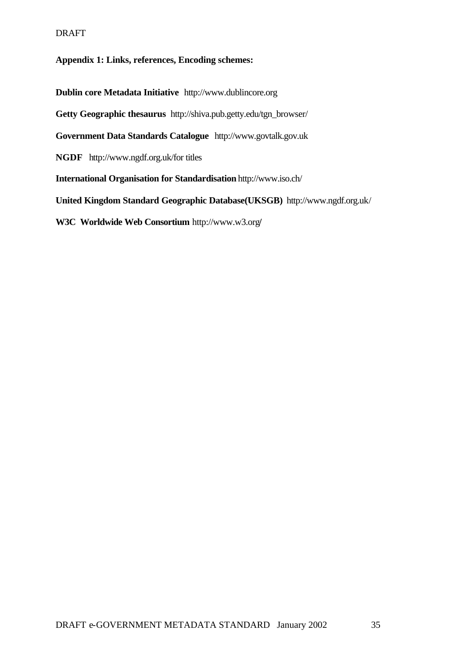#### **Appendix 1: Links, references, Encoding schemes:**

**Dublin core Metadata Initiative** http://www.dublincore.org **Getty Geographic thesaurus** http://shiva.pub.getty.edu/tgn\_browser/ **Government Data Standards Catalogue** http://www.govtalk.gov.uk **NGDF** http://www.ngdf.org.uk/for titles **International Organisation for Standardisation** http://www.iso.ch/ **United Kingdom Standard Geographic Database(UKSGB)** http://www.ngdf.org.uk/

**W3C Worldwide Web Consortium** http://www.w3.org**/**